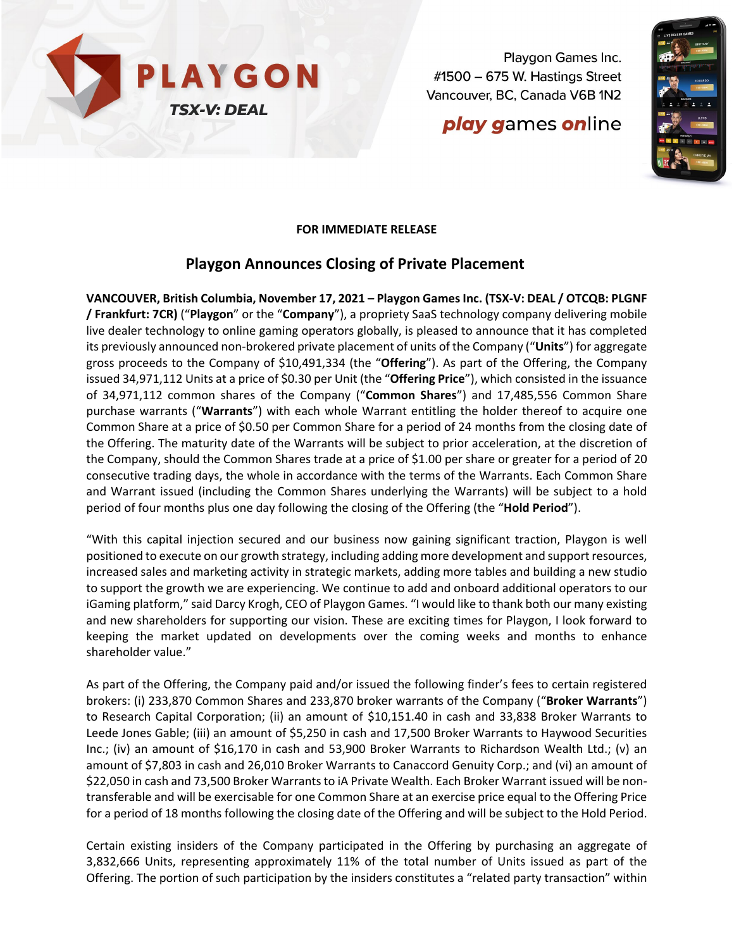

Playgon Games Inc. #1500 - 675 W. Hastings Street Vancouver, BC, Canada V6B 1N2

# **play games online**



#### **FOR IMMEDIATE RELEASE**

### **Playgon Announces Closing of Private Placement**

**VANCOUVER, British Columbia, November 17, 2021 – Playgon Games Inc. (TSX-V: DEAL / OTCQB: PLGNF / Frankfurt: 7CR)** ("**Playgon**" or the "**Company**"), a propriety SaaS technology company delivering mobile live dealer technology to online gaming operators globally, is pleased to announce that it has completed its previously announced non-brokered private placement of units of the Company ("**Units**") for aggregate gross proceeds to the Company of \$10,491,334 (the "**Offering**"). As part of the Offering, the Company issued 34,971,112 Units at a price of \$0.30 per Unit (the "**Offering Price**"), which consisted in the issuance of 34,971,112 common shares of the Company ("**Common Shares**") and 17,485,556 Common Share purchase warrants ("**Warrants**") with each whole Warrant entitling the holder thereof to acquire one Common Share at a price of \$0.50 per Common Share for a period of 24 months from the closing date of the Offering. The maturity date of the Warrants will be subject to prior acceleration, at the discretion of the Company, should the Common Shares trade at a price of \$1.00 per share or greater for a period of 20 consecutive trading days, the whole in accordance with the terms of the Warrants. Each Common Share and Warrant issued (including the Common Shares underlying the Warrants) will be subject to a hold period of four months plus one day following the closing of the Offering (the "**Hold Period**").

"With this capital injection secured and our business now gaining significant traction, Playgon is well positioned to execute on our growth strategy, including adding more development and support resources, increased sales and marketing activity in strategic markets, adding more tables and building a new studio to support the growth we are experiencing. We continue to add and onboard additional operators to our iGaming platform," said Darcy Krogh, CEO of Playgon Games. "I would like to thank both our many existing and new shareholders for supporting our vision. These are exciting times for Playgon, I look forward to keeping the market updated on developments over the coming weeks and months to enhance shareholder value."

As part of the Offering, the Company paid and/or issued the following finder's fees to certain registered brokers: (i) 233,870 Common Shares and 233,870 broker warrants of the Company ("**Broker Warrants**") to Research Capital Corporation; (ii) an amount of \$10,151.40 in cash and 33,838 Broker Warrants to Leede Jones Gable; (iii) an amount of \$5,250 in cash and 17,500 Broker Warrants to Haywood Securities Inc.; (iv) an amount of \$16,170 in cash and 53,900 Broker Warrants to Richardson Wealth Ltd.; (v) an amount of \$7,803 in cash and 26,010 Broker Warrants to Canaccord Genuity Corp.; and (vi) an amount of \$22,050 in cash and 73,500 Broker Warrants to iA Private Wealth. Each Broker Warrant issued will be nontransferable and will be exercisable for one Common Share at an exercise price equal to the Offering Price for a period of 18 months following the closing date of the Offering and will be subject to the Hold Period.

Certain existing insiders of the Company participated in the Offering by purchasing an aggregate of 3,832,666 Units, representing approximately 11% of the total number of Units issued as part of the Offering. The portion of such participation by the insiders constitutes a "related party transaction" within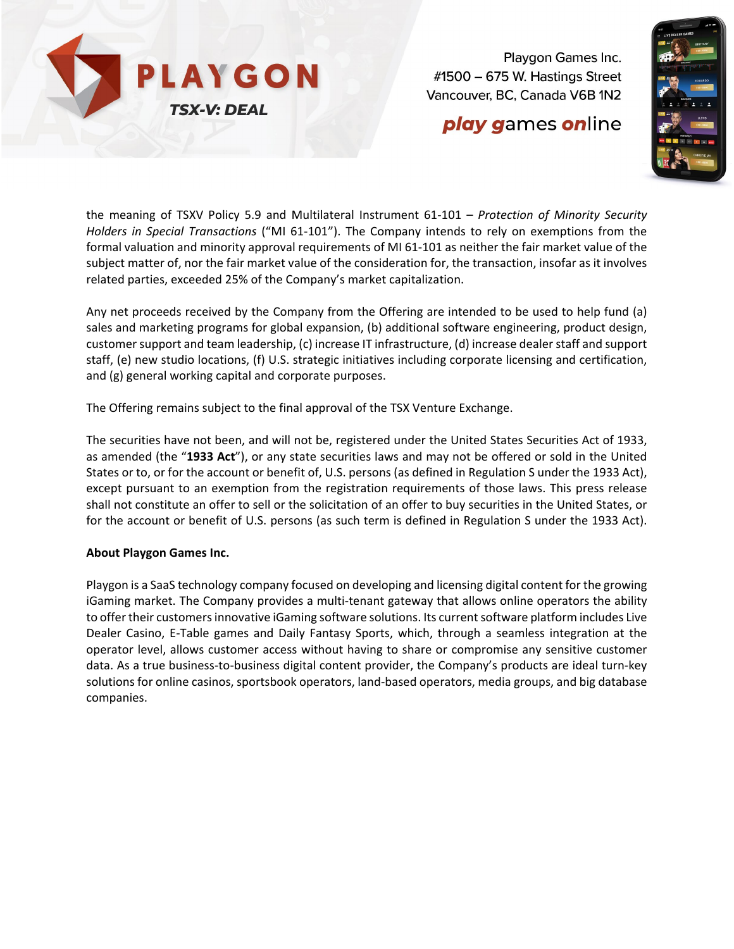

Playgon Games Inc.  $\#1500 - 675$  W. Hastings Street Vancouver, BC, Canada V6B 1N2

## **play games online**



the meaning of TSXV Policy 5.9 and Multilateral Instrument 61-101 – *Protection of Minority Security Holders in Special Transactions* ("MI 61-101"). The Company intends to rely on exemptions from the formal valuation and minority approval requirements of MI 61-101 as neither the fair market value of the subject matter of, nor the fair market value of the consideration for, the transaction, insofar as it involves related parties, exceeded 25% of the Company's market capitalization.

Any net proceeds received by the Company from the Offering are intended to be used to help fund (a) sales and marketing programs for global expansion, (b) additional software engineering, product design, customer support and team leadership, (c) increase IT infrastructure, (d) increase dealer staff and support staff, (e) new studio locations, (f) U.S. strategic initiatives including corporate licensing and certification, and (g) general working capital and corporate purposes.

The Offering remains subject to the final approval of the TSX Venture Exchange.

The securities have not been, and will not be, registered under the United States Securities Act of 1933, as amended (the "**1933 Act**"), or any state securities laws and may not be offered or sold in the United States or to, or for the account or benefit of, U.S. persons (as defined in Regulation S under the 1933 Act), except pursuant to an exemption from the registration requirements of those laws. This press release shall not constitute an offer to sell or the solicitation of an offer to buy securities in the United States, or for the account or benefit of U.S. persons (as such term is defined in Regulation S under the 1933 Act).

#### **About Playgon Games Inc.**

Playgon is a SaaS technology company focused on developing and licensing digital content for the growing iGaming market. The Company provides a multi-tenant gateway that allows online operators the ability to offer their customers innovative iGaming software solutions. Its current software platform includes Live Dealer Casino, E-Table games and Daily Fantasy Sports, which, through a seamless integration at the operator level, allows customer access without having to share or compromise any sensitive customer data. As a true business-to-business digital content provider, the Company's products are ideal turn-key solutions for online casinos, sportsbook operators, land-based operators, media groups, and big database companies.